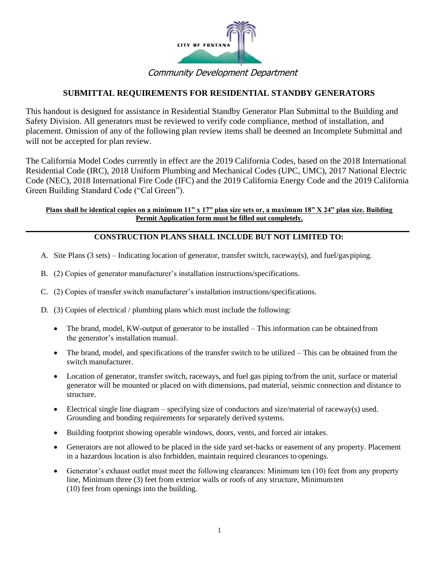

## Community Development Department

### **SUBMITTAL REQUIREMENTS FOR RESIDENTIAL STANDBY GENERATORS**

This handout is designed for assistance in Residential Standby Generator Plan Submittal to the Building and Safety Division. All generators must be reviewed to verify code compliance, method of installation, and placement. Omission of any of the following plan review items shall be deemed an Incomplete Submittal and will not be accepted for plan review.

The California Model Codes currently in effect are the 2019 California Codes, based on the 2018 International Residential Code (IRC), 2018 Uniform Plumbing and Mechanical Codes (UPC, UMC), 2017 National Electric Code (NEC), 2018 International Fire Code (IFC) and the 2019 California Energy Code and the 2019 California Green Building Standard Code ("Cal Green").

#### **Plans shall be identical copies on a minimum 11" x 17" plan size sets or, a maximum 18" X 24" plan size. Building Permit Application form must be filled out completely.**

#### **CONSTRUCTION PLANS SHALL INCLUDE BUT NOT LIMITED TO:**

- A. Site Plans (3 sets) Indicating location of generator, transfer switch, raceway(s), and fuel/gaspiping.
- B. (2) Copies of generator manufacturer's installation instructions/specifications.
- C. (2) Copies of transfer switch manufacturer's installation instructions/specifications.
- D. (3) Copies of electrical / plumbing plans which must include the following:
	- The brand, model, KW-output of generator to be installed This information can be obtained from the generator's installation manual.
	- The brand, model, and specifications of the transfer switch to be utilized This can be obtained from the switch manufacturer.
	- Location of generator, transfer switch, raceways, and fuel gas piping to/from the unit, surface or material generator will be mounted or placed on with dimensions, pad material, seismic connection and distance to structure.
	- Electrical single line diagram specifying size of conductors and size/material of raceway(s) used. Grounding and bonding requirements for separately derived systems.
	- Building footprint showing operable windows, doors, vents, and forced air intakes.
	- Generators are not allowed to be placed in the side yard set-backs or easement of any property. Placement in a hazardous location is also forbidden, maintain required clearances to openings.
	- Generator's exhaust outlet must meet the following clearances: Minimum ten (10) feet from any property line, Minimum three (3) feet from exterior walls or roofs of any structure, Minimumten (10) feet from openings into the building.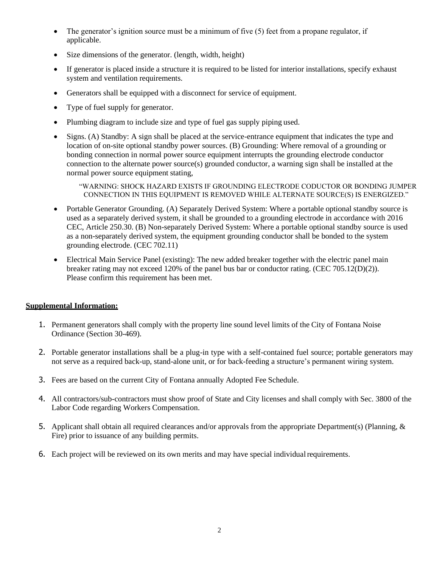- The generator's ignition source must be a minimum of five (5) feet from a propane regulator, if applicable.
- Size dimensions of the generator. (length, width, height)
- If generator is placed inside a structure it is required to be listed for interior installations, specify exhaust system and ventilation requirements.
- Generators shall be equipped with a disconnect for service of equipment.
- Type of fuel supply for generator.
- Plumbing diagram to include size and type of fuel gas supply piping used.
- Signs. (A) Standby: A sign shall be placed at the service-entrance equipment that indicates the type and location of on-site optional standby power sources. (B) Grounding: Where removal of a grounding or bonding connection in normal power source equipment interrupts the grounding electrode conductor connection to the alternate power source(s) grounded conductor, a warning sign shall be installed at the normal power source equipment stating,

"WARNING: SHOCK HAZARD EXISTS IF GROUNDING ELECTRODE CODUCTOR OR BONDING JUMPER CONNECTION IN THIS EQUIPMENT IS REMOVED WHILE ALTERNATE SOURCE(S) IS ENERGIZED."

- Portable Generator Grounding. (A) Separately Derived System: Where a portable optional standby source is used as a separately derived system, it shall be grounded to a grounding electrode in accordance with 2016 CEC, Article 250.30. (B) Non-separately Derived System: Where a portable optional standby source is used as a non-separately derived system, the equipment grounding conductor shall be bonded to the system grounding electrode. (CEC 702.11)
- Electrical Main Service Panel (existing): The new added breaker together with the electric panel main breaker rating may not exceed 120% of the panel bus bar or conductor rating. (CEC 705.12(D)(2)). Please confirm this requirement has been met.

#### **Supplemental Information:**

- 1. Permanent generators shall comply with the property line sound level limits of the City of Fontana Noise Ordinance (Section 30-469).
- 2. Portable generator installations shall be a plug-in type with a self-contained fuel source; portable generators may not serve as a required back-up, stand-alone unit, or for back-feeding a structure's permanent wiring system.
- 3. Fees are based on the current City of Fontana annually Adopted Fee Schedule.
- 4. All contractors/sub-contractors must show proof of State and City licenses and shall comply with Sec. 3800 of the Labor Code regarding Workers Compensation.
- 5. Applicant shall obtain all required clearances and/or approvals from the appropriate Department(s) (Planning, & Fire) prior to issuance of any building permits.
- 6. Each project will be reviewed on its own merits and may have special individual requirements.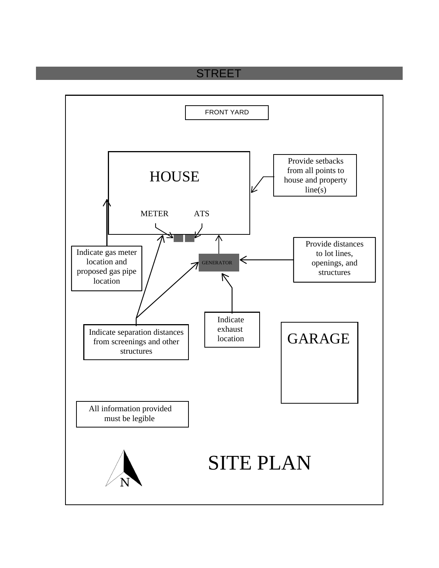# **STREET**